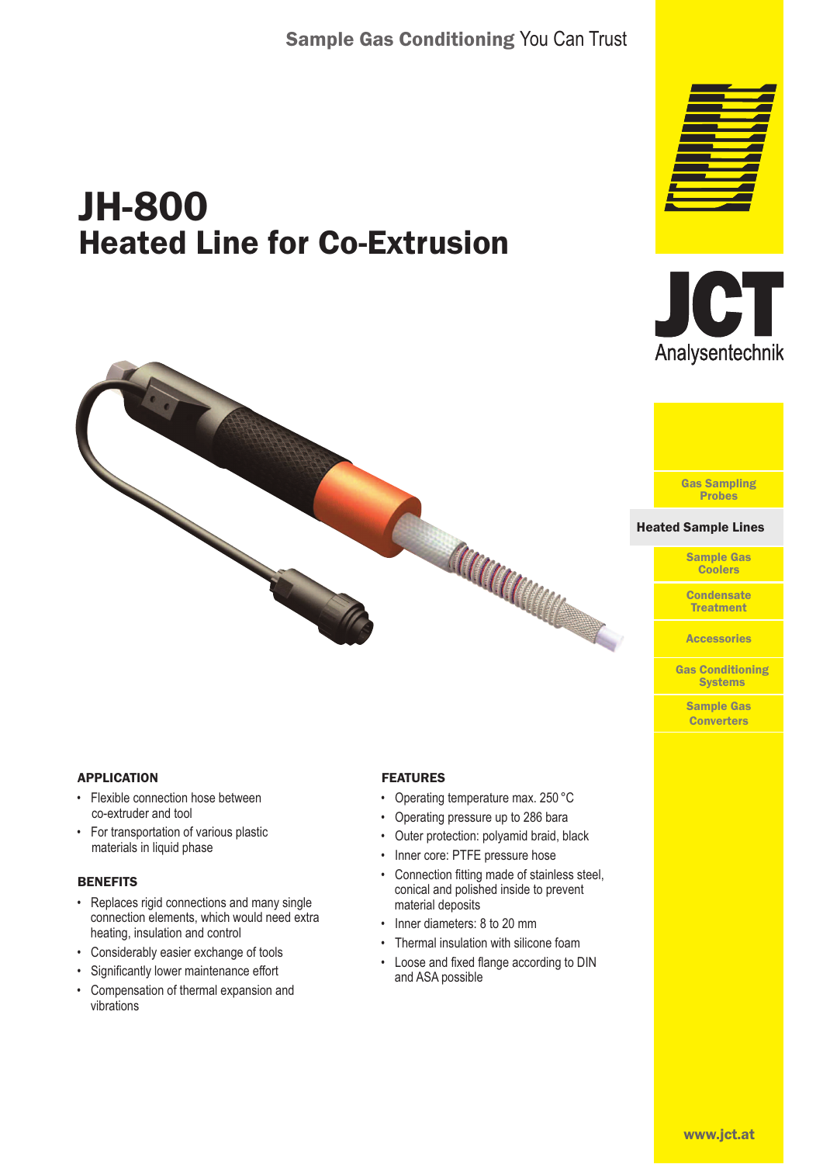# JH-800 Heated Line for Co-Extrusion







#### Heated Sample Lines Heated Sample Lines

Sample Gas **Coolers** 

**Condensate Treatment** 

**Accessories** 

Gas Conditioning **Systems** 

> Sample Gas **Converters**

#### APPLICATION

- Flexible connection hose between co-extruder and tool
- For transportation of various plastic materials in liquid phase

#### **BENEFITS**

- Replaces rigid connections and many single connection elements, which would need extra heating, insulation and control
- Considerably easier exchange of tools
- Significantly lower maintenance effort
- Compensation of thermal expansion and vibrations

### FEATURES

- Operating temperature max. 250 °C
- Operating pressure up to 286 bara
- Outer protection: polyamid braid, black

Cardiana

- Inner core: PTFE pressure hose
- Connection fitting made of stainless steel, conical and polished inside to prevent material deposits
- Inner diameters: 8 to 20 mm
- Thermal insulation with silicone foam
- Loose and fixed flange according to DIN and ASA possible